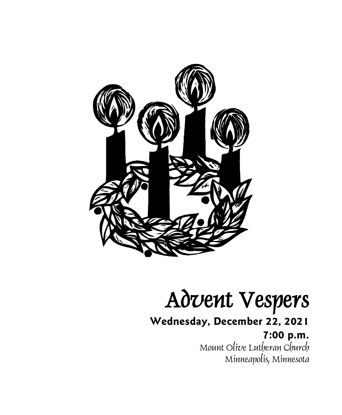

# Advent Vespers

**Wednesday, December 22, 2021**

**7:00 p.m.** Mount Olive Lutheran Church Minneapolis, Minnesota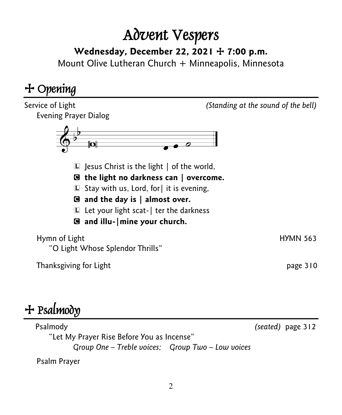## Advent Vespers

**Wednesday, December 22, 2021** + **7:00 p.m.**

Mount Olive Lutheran Church + Minneapolis, Minnesota

### + Opening



## $+$  Psalmody

 Psalmody *(seated)* page 312 "Let My Prayer Rise Before You as Incense" *Group One – Treble voices; Group Two – Low voices*

Psalm Prayer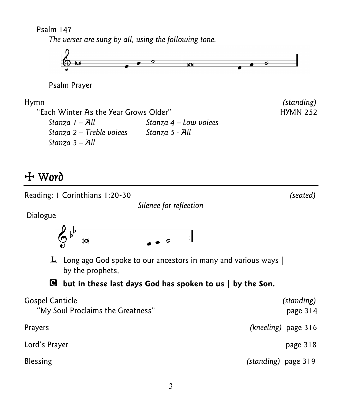Psalm 147

*The verses are sung by all, using the following tone.* 



Psalm Prayer

"Each Winter As the Year Grows Older" The Manuson Controller HYMN 252 *Stanza 1 – All Stanza 4 – Low voices Stanza 2 – Treble voices Stanza 5 - All Stanza 3 – All* 

Hymn *(standing)*

#### + Word





| <b>Gospel Canticle</b>            | (standing)          |
|-----------------------------------|---------------------|
| "My Soul Proclaims the Greatness" | page 314            |
| <b>Prayers</b>                    | (kneeling) page 316 |
| Lord's Prayer                     | page 318            |
| <b>Blessing</b>                   | (standing) page 319 |